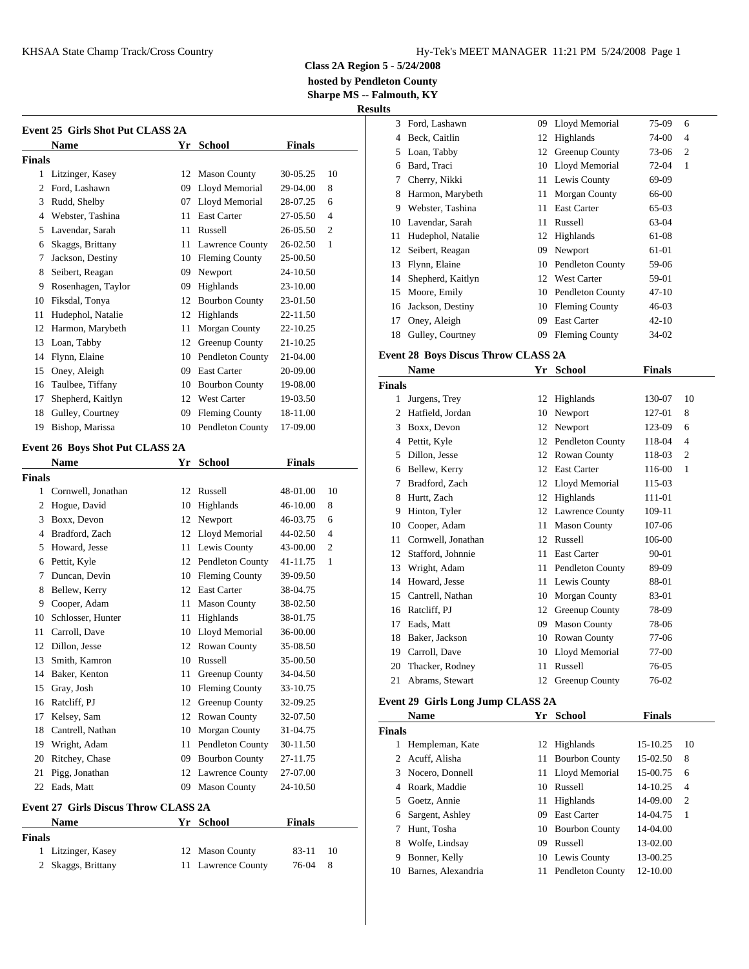### KHSAA State Champ Track/Cross Country **Hy-Tek's MEET MANAGER** 11:21 PM 5/24/2008 Page 1

**Class 2A Region 5 - 5/24/2008**

**hosted by Pendleton County Sharpe MS -- Falmouth, KY**

**Results**

|               | <b>Event 25 Girls Shot Put CLASS 2A</b>     |    |                         |               |    | 3              | Ford,        |
|---------------|---------------------------------------------|----|-------------------------|---------------|----|----------------|--------------|
|               | Name                                        | Yr | <b>School</b>           | <b>Finals</b> |    | 4              | Beck,        |
| <b>Finals</b> |                                             |    |                         |               |    | 5              | Loan,        |
| $\mathbf{1}$  | Litzinger, Kasey                            |    | 12 Mason County         | 30-05.25      | 10 | 6              | Bard,        |
| 2             | Ford, Lashawn                               | 09 | Lloyd Memorial          | 29-04.00      | 8  | 7              | Cherr        |
| 3             | Rudd, Shelby                                | 07 | Lloyd Memorial          | 28-07.25      | 6  | 8              | Harm         |
| 4             | Webster, Tashina                            | 11 | East Carter             | 27-05.50      | 4  | 9              | Webs         |
| 5             | Lavendar, Sarah                             | 11 | Russell                 | 26-05.50      | 2  | 10             | Laver        |
| 6             | Skaggs, Brittany                            |    | 11 Lawrence County      | 26-02.50      | 1  | 11             | Hude         |
| 7             | Jackson, Destiny                            |    | 10 Fleming County       | 25-00.50      |    | 12             | Seibe        |
| 8             | Seibert, Reagan                             |    | 09 Newport              | 24-10.50      |    | 13             | Flynn        |
| 9             | Rosenhagen, Taylor                          | 09 | Highlands               | 23-10.00      |    | 14             | Sheph        |
| 10            | Fiksdal, Tonya                              | 12 | <b>Bourbon County</b>   | 23-01.50      |    | 15             | Moor         |
| 11            | Hudephol, Natalie                           | 12 | Highlands               | 22-11.50      |    | 16             | <b>Jacks</b> |
| 12            | Harmon, Marybeth                            | 11 | Morgan County           | 22-10.25      |    | 17             | Oney.        |
| 13            | Loan, Tabby                                 | 12 | Greenup County          | 21-10.25      |    | 18             | Gulle        |
| 14            | Flynn, Elaine                               | 10 | <b>Pendleton County</b> | 21-04.00      |    | Event 28 B     |              |
| 15            | Oney, Aleigh                                | 09 | <b>East Carter</b>      | 20-09.00      |    |                | Nam          |
| 16            | Taulbee, Tiffany                            | 10 | <b>Bourbon County</b>   | 19-08.00      |    | <b>Finals</b>  |              |
| 17            | Shepherd, Kaitlyn                           |    | 12 West Carter          | 19-03.50      |    | 1              | Jurger       |
| 18            | Gulley, Courtney                            | 09 | <b>Fleming County</b>   | 18-11.00      |    | $\overline{c}$ | Hatfie       |
| 19            | Bishop, Marissa                             |    | 10 Pendleton County     | 17-09.00      |    | 3              | Boxx.        |
|               |                                             |    |                         |               |    | 4              | Pettit.      |
|               | Event 26 Boys Shot Put CLASS 2A             |    |                         |               |    | 5              | Dillor       |
|               | <b>Name</b>                                 | Yr | <b>School</b>           | <b>Finals</b> |    | 6              | Belley       |
| <b>Finals</b> |                                             |    |                         |               |    | 7              | <b>Bradf</b> |
| 1             | Cornwell, Jonathan                          |    | 12 Russell              | 48-01.00      | 10 | 8              | Hurtt,       |
| 2             | Hogue, David                                | 10 | Highlands               | 46-10.00      | 8  | 9              | Hinto        |
| 3             | Boxx, Devon                                 | 12 | Newport                 | 46-03.75      | 6  | 10             | Coop         |
| 4             | Bradford, Zach                              | 12 | Lloyd Memorial          | 44-02.50      | 4  | 11             | Corny        |
| 5             | Howard, Jesse                               | 11 | Lewis County            | 43-00.00      | 2  | 12             | Staffo       |
| 6             | Pettit, Kyle                                |    | 12 Pendleton County     | 41-11.75      | 1  | 13             | Wrigh        |
| 7             | Duncan, Devin                               |    | 10 Fleming County       | 39-09.50      |    | 14             | Howa         |
| 8             | Bellew, Kerry                               |    | 12 East Carter          | 38-04.75      |    | 15             | Cantr        |
| 9             | Cooper, Adam                                | 11 | <b>Mason County</b>     | 38-02.50      |    | 16             | Ratcli       |
| 10            | Schlosser, Hunter                           | 11 | Highlands               | 38-01.75      |    | 17             | Eads,        |
| 11            | Carroll, Dave                               |    | 10 Lloyd Memorial       | 36-00.00      |    | 18             | Baker        |
| 12            | Dillon, Jesse                               |    | 12 Rowan County         | 35-08.50      |    | 19             | Carro        |
| 13.           | Smith, Kamron                               |    | 10 Russell              | 35-00.50      |    | 20             | Thack        |
|               | 14 Baker, Kenton                            |    | 11 Greenup County       | 34-04.50      |    | 21             | Abrar        |
| 15            | Gray, Josh                                  |    | 10 Fleming County       | 33-10.75      |    |                |              |
|               | 16 Ratcliff, PJ                             |    | 12 Greenup County       | 32-09.25      |    | Event 29 G     |              |
| 17            | Kelsey, Sam                                 |    | 12 Rowan County         | 32-07.50      |    |                | <b>Nam</b>   |
| 18            | Cantrell, Nathan                            |    | 10 Morgan County        | 31-04.75      |    | <b>Finals</b>  |              |
| 19            | Wright, Adam                                | 11 | Pendleton County        | 30-11.50      |    |                | 1 Hemp       |
| 20            | Ritchey, Chase                              |    | 09 Bourbon County       | 27-11.75      |    | $\overline{c}$ | Acuff        |
|               | 21 Pigg, Jonathan                           |    | 12 Lawrence County      | 27-07.00      |    | 3              | Nocer        |
|               | 22 Eads, Matt                               |    | 09 Mason County         | 24-10.50      |    |                | 4 Roark      |
|               | <b>Event 27 Girls Discus Throw CLASS 2A</b> |    |                         |               |    | 5              | Goetz        |
|               | Name                                        |    | Yr School               | <b>Finals</b> |    | 6              | Sarge        |
| <b>Finals</b> |                                             |    |                         |               |    | 7              | Hunt,        |
|               | 1 Litzinger, Kasey                          |    | 12 Mason County         | 83-11         | 10 | 8              | Wolfe        |
|               | 2 Skaggs, Brittany                          |    | 11 Lawrence County      | 76-04         | 8  | 9              | <b>Bonn</b>  |

| s  |                     |    |                         |           |   |
|----|---------------------|----|-------------------------|-----------|---|
| 3  | Ford, Lashawn       | 09 | Lloyd Memorial          | 75-09     | 6 |
| 4  | Beck, Caitlin       | 12 | Highlands               | 74-00     | 4 |
| 5  | Loan, Tabby         | 12 | Greenup County          | 73-06     | 2 |
| 6  | Bard, Traci         | 10 | Lloyd Memorial          | 72-04     | 1 |
| 7  | Cherry, Nikki       | 11 | Lewis County            | 69-09     |   |
| 8  | Harmon, Marybeth    | 11 | <b>Morgan County</b>    | 66-00     |   |
| 9  | Webster, Tashina    | 11 | <b>East Carter</b>      | 65-03     |   |
| 10 | Lavendar, Sarah     | 11 | Russell                 | 63-04     |   |
| 11 | Hudephol, Natalie   |    | 12 Highlands            | 61-08     |   |
| 12 | Seibert, Reagan     | 09 | Newport                 | 61-01     |   |
| 13 | Flynn, Elaine       | 10 | <b>Pendleton County</b> | 59-06     |   |
| 14 | Shepherd, Kaitlyn   | 12 | <b>West Carter</b>      | 59-01     |   |
| 15 | Moore, Emily        | 10 | <b>Pendleton County</b> | $47 - 10$ |   |
| 16 | Jackson, Destiny    | 10 | <b>Fleming County</b>   | 46-03     |   |
| 17 | Oney, Aleigh        | 09 | <b>East Carter</b>      | $42 - 10$ |   |
|    | 18 Gulley, Courtney | 09 | <b>Fleming County</b>   | 34-02     |   |

## **Event 28 Boys Discus Throw CLASS 2A**

|        | Name               | Yr | <b>School</b>           | <b>Finals</b> |                |
|--------|--------------------|----|-------------------------|---------------|----------------|
| Finals |                    |    |                         |               |                |
| 1      | Jurgens, Trey      | 12 | Highlands               | 130-07        | 10             |
| 2      | Hatfield, Jordan   | 10 | Newport                 | 127-01        | 8              |
| 3      | Boxx, Devon        | 12 | Newport                 | 123-09        | 6              |
| 4      | Pettit, Kyle       | 12 | Pendleton County        | 118-04        | 4              |
| 5      | Dillon, Jesse      | 12 | Rowan County            | 118-03        | $\overline{2}$ |
| 6      | Bellew, Kerry      | 12 | <b>East Carter</b>      | 116-00        | 1              |
| 7      | Bradford, Zach     | 12 | Lloyd Memorial          | 115-03        |                |
| 8      | Hurtt, Zach        | 12 | Highlands               | 111-01        |                |
| 9      | Hinton, Tyler      |    | 12 Lawrence County      | 109-11        |                |
| 10     | Cooper, Adam       | 11 | <b>Mason County</b>     | 107-06        |                |
| 11     | Cornwell, Jonathan | 12 | Russell                 | 106-00        |                |
| 12     | Stafford, Johnnie  | 11 | <b>East Carter</b>      | 90-01         |                |
| 13     | Wright, Adam       | 11 | <b>Pendleton County</b> | 89-09         |                |
| 14     | Howard, Jesse      | 11 | Lewis County            | 88-01         |                |
| 15     | Cantrell, Nathan   | 10 | Morgan County           | 83-01         |                |
| 16     | Ratcliff, PJ       | 12 | Greenup County          | 78-09         |                |
| 17     | Eads, Matt         | 09 | <b>Mason County</b>     | 78-06         |                |
| 18     | Baker, Jackson     | 10 | Rowan County            | 77-06         |                |
| 19     | Carroll, Dave      | 10 | Lloyd Memorial          | 77-00         |                |
| 20     | Thacker, Rodney    | 11 | Russell                 | 76-05         |                |
| 21     | Abrams, Stewart    | 12 | Greenup County          | 76-02         |                |

## **Event 29 Girls Long Jump CLASS 2A**

|        | <b>Name</b>        |    | Yr School           | <b>Finals</b> |                |
|--------|--------------------|----|---------------------|---------------|----------------|
| Finals |                    |    |                     |               |                |
| 1      | Hempleman, Kate    |    | 12 Highlands        | $15-10.25$    | 10             |
|        | 2 Acuff, Alisha    |    | 11 Bourbon County   | 15-02.50      | 8              |
|        | 3 Nocero, Donnell  |    | 11 Lloyd Memorial   | 15-00.75      | 6              |
|        | 4 Roark, Maddie    | 10 | <b>Russell</b>      | 14-10.25      | $\overline{4}$ |
| 5.     | Goetz, Annie       |    | 11 Highlands        | 14-09.00      | 2              |
| 6      | Sargent, Ashley    | 09 | <b>East Carter</b>  | 14-04.75      | $\overline{1}$ |
|        | Hunt, Tosha        |    | 10 Bourbon County   | 14-04.00      |                |
| 8      | Wolfe, Lindsay     | 09 | Russell             | 13-02.00      |                |
| 9      | Bonner, Kelly      | 10 | Lewis County        | 13-00.25      |                |
| 10     | Barnes, Alexandria |    | 11 Pendleton County | 12-10.00      |                |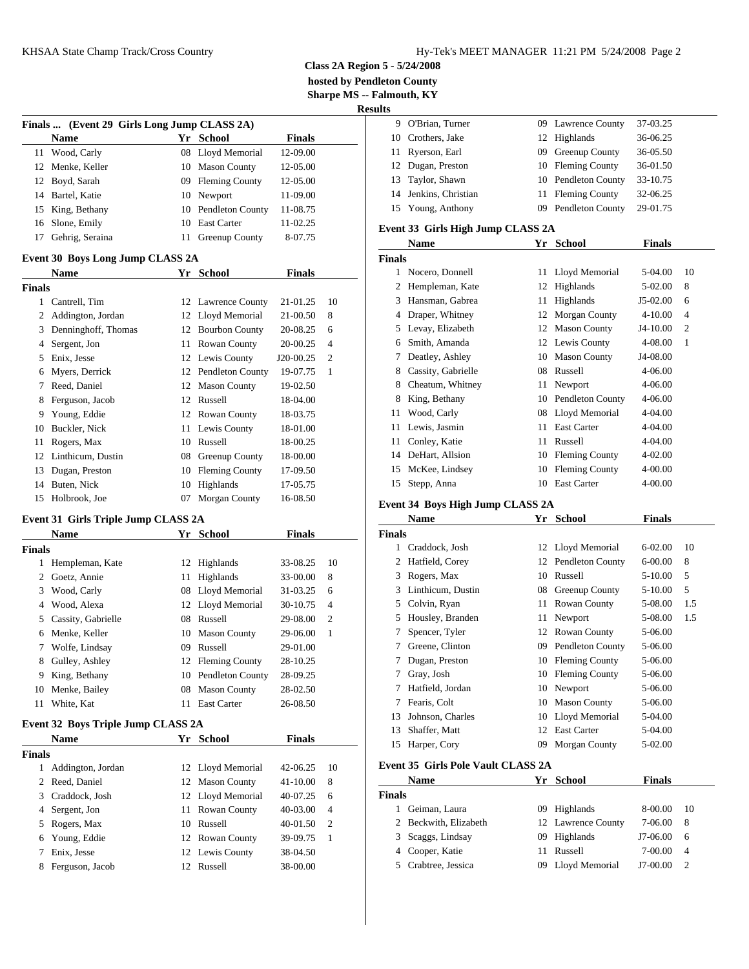**Finals ... (Event 29 Girls Long Jump CLASS 2A) Name Finally <b>Finally Finally Finally Finally Finally Finally Finally Finally Finally Finally Finally Finally Finally Finally Finally Finally Finally Finally Finally Finally Final** 

**Class 2A Region 5 - 5/24/2008**

**hosted by Pendleton County**

**Sharpe MS -- Falmouth, KY**

|     |               | <b>Results</b> |                    |                     |          |
|-----|---------------|----------------|--------------------|---------------------|----------|
|     |               |                | 9 O'Brian, Turner  | 09 Lawrence County  | 37-03.25 |
|     | <b>Finals</b> |                | 10 Crothers, Jake  | 12 Highlands        | 36-06.25 |
| a1  | 12-09.00      |                | 11 Ryerson, Earl   | 09 Greenup County   | 36-05.50 |
|     | 12-05.00      |                | 12 Dugan, Preston  | 10 Fleming County   | 36-01.50 |
|     | 12-05.00      |                | 13 Taylor, Shawn   | 10 Pendleton County | 33-10.75 |
|     | 11-09.00      | 14             | Jenkins, Christian | 11 Fleming County   | 32-06.25 |
| nty | 11-08.75      | 15             | Young, Anthony     | 09 Pendleton County | 29-01.75 |
|     |               |                |                    |                     |          |

## **Event 33 Girls High Jump CLASS 2A**

|        | Name               |    | Yr School               | <b>Finals</b> |                |
|--------|--------------------|----|-------------------------|---------------|----------------|
| Finals |                    |    |                         |               |                |
|        | Nocero, Donnell    |    | 11 Lloyd Memorial       | 5-04.00       | 10             |
| 2      | Hempleman, Kate    | 12 | Highlands               | 5-02.00       | 8              |
| 3      | Hansman, Gabrea    | 11 | Highlands               | $J5-02.00$    | 6              |
| 4      | Draper, Whitney    |    | 12 Morgan County        | $4 - 10.00$   | $\overline{4}$ |
| 5      | Levay, Elizabeth   |    | 12 Mason County         | $J4-10.00$    | $\overline{2}$ |
| 6      | Smith, Amanda      |    | 12 Lewis County         | 4-08.00       | 1              |
| 7      | Deatley, Ashley    | 10 | <b>Mason County</b>     | J4-08.00      |                |
| 8      | Cassity, Gabrielle | 08 | Russell                 | 4-06.00       |                |
| 8      | Cheatum, Whitney   | 11 | Newport                 | 4-06.00       |                |
| 8      | King, Bethany      | 10 | <b>Pendleton County</b> | 4-06.00       |                |
| 11     | Wood, Carly        | 08 | Lloyd Memorial          | 4-04.00       |                |
| 11     | Lewis, Jasmin      | 11 | <b>East Carter</b>      | 4-04.00       |                |
| 11     | Conley, Katie      | 11 | Russell                 | 4-04.00       |                |
| 14     | DeHart, Allsion    | 10 | <b>Fleming County</b>   | 4-02.00       |                |
| 15     | McKee, Lindsey     | 10 | <b>Fleming County</b>   | 4-00.00       |                |
| 15     | Stepp, Anna        | 10 | <b>East Carter</b>      | 4-00.00       |                |

## **Event 34 Boys High Jump CLASS 2A**

|        | <b>Name</b>                               |    | Yr School             | <b>Finals</b> |     |
|--------|-------------------------------------------|----|-----------------------|---------------|-----|
| Finals |                                           |    |                       |               |     |
|        | Craddock, Josh                            |    | 12 Lloyd Memorial     | $6 - 02.00$   | 10  |
| 2      | Hatfield, Corey                           |    | 12 Pendleton County   | $6 - 00.00$   | 8   |
| 3      | Rogers, Max                               | 10 | Russell               | 5-10.00       | 5   |
| 3      | Linthicum, Dustin                         |    | 08 Greenup County     | $5-10.00$     | 5   |
| 5      | Colvin, Ryan                              |    | 11 Rowan County       | 5-08.00       | 1.5 |
| 5      | Housley, Branden                          |    | 11 Newport            | 5-08.00       | 1.5 |
| 7      | Spencer, Tyler                            |    | 12 Rowan County       | 5-06.00       |     |
| 7      | Greene, Clinton                           |    | 09 Pendleton County   | 5-06.00       |     |
| 7      | Dugan, Preston                            |    | 10 Fleming County     | 5-06.00       |     |
| 7      | Gray, Josh                                | 10 | <b>Fleming County</b> | 5-06.00       |     |
| 7      | Hatfield, Jordan                          |    | 10 Newport            | 5-06.00       |     |
| 7      | Fearis, Colt                              | 10 | <b>Mason County</b>   | 5-06.00       |     |
| 13     | Johnson, Charles                          |    | 10 Lloyd Memorial     | 5-04.00       |     |
| 13     | Shaffer, Matt                             | 12 | <b>East Carter</b>    | 5-04.00       |     |
| 15     | Harper, Cory                              | 09 | Morgan County         | 5-02.00       |     |
|        | <b>Event 35 Girls Pole Vault CLASS 2A</b> |    |                       |               |     |
|        | <b>Name</b>                               |    | Yr School             | <b>Finals</b> |     |

| Finals |                       |                    |          |                |
|--------|-----------------------|--------------------|----------|----------------|
|        | Geiman, Laura         | 09 Highlands       | 8-00.00  | - 10           |
|        | 2 Beckwith, Elizabeth | 12 Lawrence County | 7-06.00  | - 8            |
|        | 3 Scaggs, Lindsay     | 09 Highlands       | J7-06.00 | - 6            |
|        | 4 Cooper, Katie       | 11 Russell         | 7-00.00  | $\overline{4}$ |
|        | 5 Crabtree, Jessica   | 09 Lloyd Memorial  | J7-00.00 |                |

| 11 Wood, Carly   |    | 08 Lloyd Memorial     | 12-09.00 | 11              |
|------------------|----|-----------------------|----------|-----------------|
| 12 Menke, Keller |    | 10 Mason County       | 12-05.00 | 12              |
| 12 Boyd, Sarah   |    | 09 Fleming County     | 12-05.00 | 13 <sup>7</sup> |
| 14 Bartel, Katie |    | 10 Newport            | 11-09.00 | 14              |
| 15 King, Bethany |    | 10 Pendleton County   | 11-08.75 | 15 <sup>7</sup> |
| 16 Slone, Emily  |    | 10 East Carter        | 11-02.25 | Event           |
| Gehrig, Seraina  | 11 | <b>Greenup County</b> | 8-07.75  |                 |

#### **Event 30 Boys Long Jump CLASS 2A**

|        | <b>Name</b>         |    | Yr School             | <b>Finals</b> |                |                         | Nocer |
|--------|---------------------|----|-----------------------|---------------|----------------|-------------------------|-------|
| Finals |                     |    |                       |               |                | 2                       | Hemp  |
|        | Cantrell, Tim       |    | 12 Lawrence County    | 21-01.25      | 10             | 3                       | Hansi |
| 2      | Addington, Jordan   |    | 12 Lloyd Memorial     | 21-00.50      | 8              | 4                       | Drape |
| 3      | Denninghoff, Thomas |    | 12 Bourbon County     | 20-08.25      | 6              | 5                       | Levay |
| 4      | Sergent, Jon        |    | 11 Rowan County       | 20-00.25      | $\overline{4}$ | 6                       | Smith |
| 5      | Enix, Jesse         |    | 12 Lewis County       | J20-00.25     | $\overline{2}$ | 7                       | Death |
| 6      | Myers, Derrick      |    | 12 Pendleton County   | 19-07.75      | $\mathbf{1}$   | 8                       | Cassi |
| 7      | Reed, Daniel        |    | 12 Mason County       | 19-02.50      |                | 8                       | Cheat |
| 8      | Ferguson, Jacob     |    | 12 Russell            | 18-04.00      |                | 8                       | King, |
| 9      | Young, Eddie        |    | 12 Rowan County       | 18-03.75      |                | 11                      | Wood  |
| 10     | Buckler, Nick       |    | 11 Lewis County       | 18-01.00      |                | 11                      | Lewis |
| 11     | Rogers, Max         |    | 10 Russell            | 18-00.25      |                | 11                      | Conle |
| 12     | Linthicum, Dustin   |    | 08 Greenup County     | 18-00.00      |                | 14                      | DeHa  |
| 13     | Dugan, Preston      | 10 | <b>Fleming County</b> | 17-09.50      |                | 15                      | McKe  |
| 14     | Buten, Nick         | 10 | Highlands             | 17-05.75      |                | 15                      | Stepp |
| 15     | Holbrook, Joe       | 07 | Morgan County         | 16-08.50      |                | $F_{\text{exact}}$ 24 D |       |

## **Event 31 Girls Triple Jump CLASS 2A**

|        | <b>Name</b>          |    | Yr School           | <b>Finals</b> |                | <b>Finals</b> |          |
|--------|----------------------|----|---------------------|---------------|----------------|---------------|----------|
| Finals |                      |    |                     |               |                | 1.            | Crado    |
|        | 1 Hempleman, Kate    |    | 12 Highlands        | 33-08.25      | 10             | 2             | Hatfie   |
|        | 2 Goetz, Annie       |    | 11 Highlands        | 33-00.00      | 8              |               | 3 Roger  |
|        | 3 Wood, Carly        |    | 08 Lloyd Memorial   | 31-03.25      | 6              |               | 3 Linthi |
|        | 4 Wood, Alexa        |    | 12 Lloyd Memorial   | 30-10.75      | $\overline{4}$ |               | 5 Colvi  |
|        | 5 Cassity, Gabrielle |    | 08 Russell          | 29-08.00      | $\overline{c}$ | 5.            | Housl    |
|        | 6 Menke, Keller      |    | 10 Mason County     | 29-06.00      | -1             |               | Spenc    |
| 7      | Wolfe, Lindsay       | 09 | <b>Russell</b>      | 29-01.00      |                |               | Green    |
|        | 8 Gulley, Ashley     |    | 12 Fleming County   | 28-10.25      |                |               | Dugar    |
| 9      | King, Bethany        |    | 10 Pendleton County | 28-09.25      |                |               | Gray,    |
| 10     | Menke, Bailey        |    | 08 Mason County     | 28-02.50      |                |               | Hatfie   |
| 11     | White, Kat           | 11 | <b>East Carter</b>  | 26-08.50      |                |               | Fearis   |
|        |                      |    |                     |               |                |               |          |

## **Event 32 Boys Triple Jump CLASS 2A**

|        | <b>Name</b>       | Yr School         | <b>Finals</b> |                | 15 Harpe      |
|--------|-------------------|-------------------|---------------|----------------|---------------|
| Finals |                   |                   |               |                |               |
|        | Addington, Jordan | 12 Lloyd Memorial | 42-06.25      | -10            | Event 35 G    |
|        | 2 Reed, Daniel    | 12 Mason County   | $41 - 10.00$  | 8              | <b>Nam</b>    |
|        | 3 Craddock, Josh  | 12 Lloyd Memorial | 40-07.25      | - 6            | <b>Finals</b> |
|        | 4 Sergent, Jon    | 11 Rowan County   | 40-03.00      | $\overline{4}$ | Geim          |
|        | 5 Rogers, Max     | 10 Russell        | 40-01.50      | $\overline{2}$ | 2 Becky       |
|        | 6 Young, Eddie    | 12 Rowan County   | 39-09.75      | $\overline{1}$ | 3 Seage       |
|        | 7 Enix, Jesse     | 12 Lewis County   | 38-04.50      |                | 4 Coope       |
| 8      | Ferguson, Jacob   | 12 Russell        | 38-00.00      |                | 5 Crabt       |